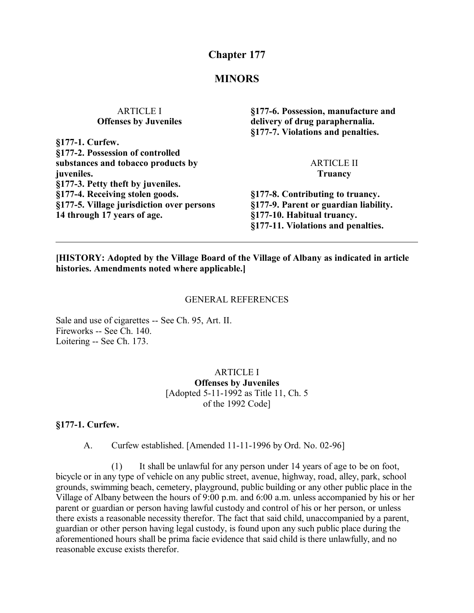## **Chapter 177**

### **MINORS**

| <b>ARTICLE I</b>                          | §177-6. Possession, manufacture and   |
|-------------------------------------------|---------------------------------------|
| <b>Offenses by Juveniles</b>              | delivery of drug paraphernalia.       |
|                                           | §177-7. Violations and penalties.     |
| §177-1. Curfew.                           |                                       |
| §177-2. Possession of controlled          |                                       |
| substances and tobacco products by        | <b>ARTICLE II</b>                     |
| juveniles.                                | Truancy                               |
| §177-3. Petty theft by juveniles.         |                                       |
| §177-4. Receiving stolen goods.           | §177-8. Contributing to truancy.      |
| §177-5. Village jurisdiction over persons | §177-9. Parent or guardian liability. |
| 14 through 17 years of age.               | §177-10. Habitual truancy.            |
|                                           | §177-11. Violations and penalties.    |

#### **[HISTORY: Adopted by the Village Board of the Village of Albany as indicated in article histories. Amendments noted where applicable.]**

#### GENERAL REFERENCES

Sale and use of cigarettes -- See Ch. 95, Art. II. Fireworks -- See Ch. 140. Loitering -- See Ch. 173.

> ARTICLE I **Offenses by Juveniles** [Adopted 5-11-1992 as Title 11, Ch. 5 of the 1992 Code]

**§177-1. Curfew.**

A. Curfew established. [Amended 11-11-1996 by Ord. No. 02-96]

(1) It shall be unlawful for any person under 14 years of age to be on foot, bicycle or in any type of vehicle on any public street, avenue, highway, road, alley, park, school grounds, swimming beach, cemetery, playground, public building or any other public place in the Village of Albany between the hours of 9:00 p.m. and 6:00 a.m. unless accompanied by his or her parent or guardian or person having lawful custody and control of his or her person, or unless there exists a reasonable necessity therefor. The fact that said child, unaccompanied by a parent, guardian or other person having legal custody, is found upon any such public place during the aforementioned hours shall be prima facie evidence that said child is there unlawfully, and no reasonable excuse exists therefor.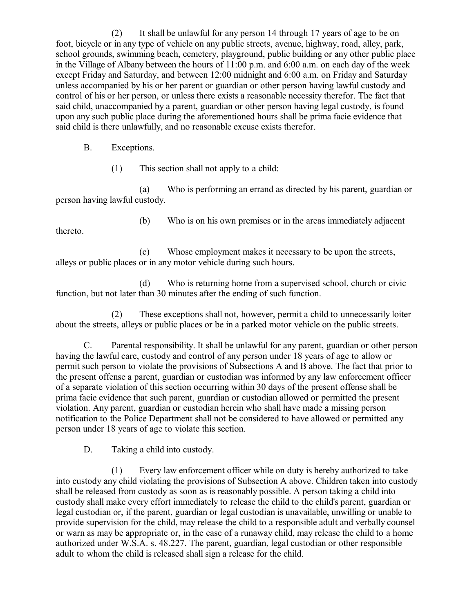(2) It shall be unlawful for any person 14 through 17 years of age to be on foot, bicycle or in any type of vehicle on any public streets, avenue, highway, road, alley, park, school grounds, swimming beach, cemetery, playground, public building or any other public place in the Village of Albany between the hours of 11:00 p.m. and 6:00 a.m. on each day of the week except Friday and Saturday, and between 12:00 midnight and 6:00 a.m. on Friday and Saturday unless accompanied by his or her parent or guardian or other person having lawful custody and control of his or her person, or unless there exists a reasonable necessity therefor. The fact that said child, unaccompanied by a parent, guardian or other person having legal custody, is found upon any such public place during the aforementioned hours shall be prima facie evidence that said child is there unlawfully, and no reasonable excuse exists therefor.

B. Exceptions.

(1) This section shall not apply to a child:

(a) Who is performing an errand as directed by his parent, guardian or person having lawful custody.

thereto.

(b) Who is on his own premises or in the areas immediately adjacent

(c) Whose employment makes it necessary to be upon the streets, alleys or public places or in any motor vehicle during such hours.

(d) Who is returning home from a supervised school, church or civic function, but not later than 30 minutes after the ending of such function.

(2) These exceptions shall not, however, permit a child to unnecessarily loiter about the streets, alleys or public places or be in a parked motor vehicle on the public streets.

C. Parental responsibility. It shall be unlawful for any parent, guardian or other person having the lawful care, custody and control of any person under 18 years of age to allow or permit such person to violate the provisions of Subsections A and B above. The fact that prior to the present offense a parent, guardian or custodian was informed by any law enforcement officer of a separate violation of this section occurring within 30 days of the present offense shall be prima facie evidence that such parent, guardian or custodian allowed or permitted the present violation. Any parent, guardian or custodian herein who shall have made a missing person notification to the Police Department shall not be considered to have allowed or permitted any person under 18 years of age to violate this section.

D. Taking a child into custody.

(1) Every law enforcement officer while on duty is hereby authorized to take into custody any child violating the provisions of Subsection A above. Children taken into custody shall be released from custody as soon as is reasonably possible. A person taking a child into custody shall make every effort immediately to release the child to the child's parent, guardian or legal custodian or, if the parent, guardian or legal custodian is unavailable, unwilling or unable to provide supervision for the child, may release the child to a responsible adult and verbally counsel or warn as may be appropriate or, in the case of a runaway child, may release the child to a home authorized under W.S.A. s. 48.227. The parent, guardian, legal custodian or other responsible adult to whom the child is released shall sign a release for the child.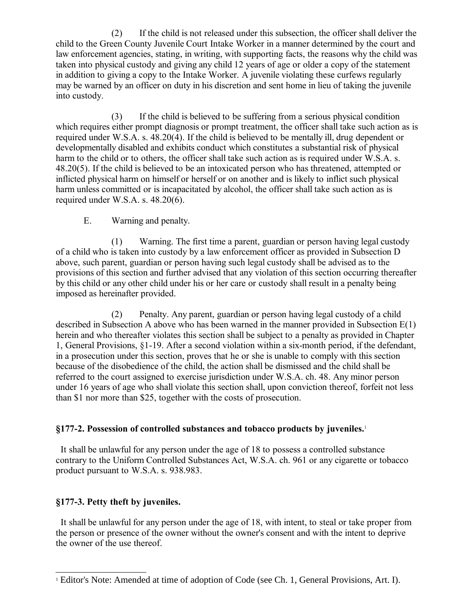(2) If the child is not released under this subsection, the officer shall deliver the child to the Green County Juvenile Court Intake Worker in a manner determined by the court and law enforcement agencies, stating, in writing, with supporting facts, the reasons why the child was taken into physical custody and giving any child 12 years of age or older a copy of the statement in addition to giving a copy to the Intake Worker. A juvenile violating these curfews regularly may be warned by an officer on duty in his discretion and sent home in lieu of taking the juvenile into custody.

(3) If the child is believed to be suffering from a serious physical condition which requires either prompt diagnosis or prompt treatment, the officer shall take such action as is required under W.S.A. s. 48.20(4). If the child is believed to be mentally ill, drug dependent or developmentally disabled and exhibits conduct which constitutes a substantial risk of physical harm to the child or to others, the officer shall take such action as is required under W.S.A. s. 48.20(5). If the child is believed to be an intoxicated person who has threatened, attempted or inflicted physical harm on himself or herself or on another and is likely to inflict such physical harm unless committed or is incapacitated by alcohol, the officer shall take such action as is required under W.S.A. s. 48.20(6).

#### E. Warning and penalty.

(1) Warning. The first time a parent, guardian or person having legal custody of a child who is taken into custody by a law enforcement officer as provided in Subsection D above, such parent, guardian or person having such legal custody shall be advised as to the provisions of this section and further advised that any violation of this section occurring thereafter by this child or any other child under his or her care or custody shall result in a penalty being imposed as hereinafter provided.

(2) Penalty. Any parent, guardian or person having legal custody of a child described in Subsection A above who has been warned in the manner provided in Subsection E(1) herein and who thereafter violates this section shall be subject to a penalty as provided in Chapter 1, General Provisions, §1-19. After a second violation within a six-month period, if the defendant, in a prosecution under this section, proves that he or she is unable to comply with this section because of the disobedience of the child, the action shall be dismissed and the child shall be referred to the court assigned to exercise jurisdiction under W.S.A. ch. 48. Any minor person under 16 years of age who shall violate this section shall, upon conviction thereof, forfeit not less than \$1 nor more than \$25, together with the costs of prosecution.

#### **§177-2. Possession of controlled substances and tobacco products by juveniles.**[1](#page-2-0)

 It shall be unlawful for any person under the age of 18 to possess a controlled substance contrary to the Uniform Controlled Substances Act, W.S.A. ch. 961 or any cigarette or tobacco product pursuant to W.S.A. s. 938.983.

#### **§177-3. Petty theft by juveniles.**

 It shall be unlawful for any person under the age of 18, with intent, to steal or take proper from the person or presence of the owner without the owner's consent and with the intent to deprive the owner of the use thereof.

<span id="page-2-0"></span><sup>&</sup>lt;sup>1</sup> Editor's Note: Amended at time of adoption of Code (see Ch. 1, General Provisions, Art. I).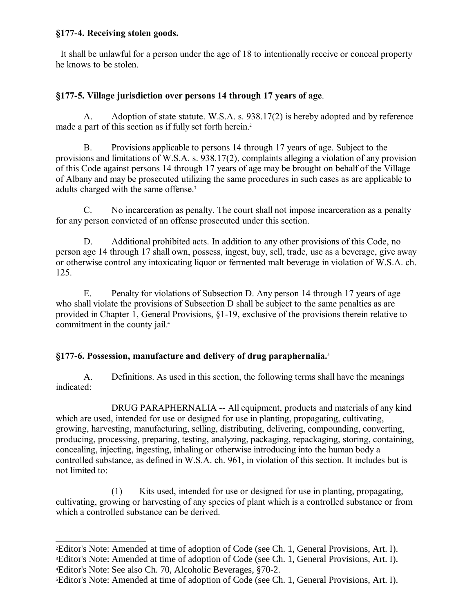#### **§177-4. Receiving stolen goods.**

 It shall be unlawful for a person under the age of 18 to intentionally receive or conceal property he knows to be stolen.

### **§177-5. Village jurisdiction over persons 14 through 17 years of age**.

A. Adoption of state statute. W.S.A. s. 938.17(2) is hereby adopted and by reference made a part of this section as if fully set forth herein.<sup>[2](#page-3-0)</sup>

B. Provisions applicable to persons 14 through 17 years of age. Subject to the provisions and limitations of W.S.A. s. 938.17(2), complaints alleging a violation of any provision of this Code against persons 14 through 17 years of age may be brought on behalf of the Village of Albany and may be prosecuted utilizing the same procedures in such cases as are applicable to adults charged with the same offense.<sup>[3](#page-3-1)</sup>

C. No incarceration as penalty. The court shall not impose incarceration as a penalty for any person convicted of an offense prosecuted under this section.

D. Additional prohibited acts. In addition to any other provisions of this Code, no person age 14 through 17 shall own, possess, ingest, buy, sell, trade, use as a beverage, give away or otherwise control any intoxicating liquor or fermented malt beverage in violation of W.S.A. ch. 125.

E. Penalty for violations of Subsection D. Any person 14 through 17 years of age who shall violate the provisions of Subsection D shall be subject to the same penalties as are provided in Chapter 1, General Provisions, §1-19, exclusive of the provisions therein relative to commitment in the county jail.<sup>[4](#page-3-2)</sup>

#### **§177-6. Possession, manufacture and delivery of drug paraphernalia.**[5](#page-3-3)

A. Definitions. As used in this section, the following terms shall have the meanings indicated:

DRUG PARAPHERNALIA -- All equipment, products and materials of any kind which are used, intended for use or designed for use in planting, propagating, cultivating, growing, harvesting, manufacturing, selling, distributing, delivering, compounding, converting, producing, processing, preparing, testing, analyzing, packaging, repackaging, storing, containing, concealing, injecting, ingesting, inhaling or otherwise introducing into the human body a controlled substance, as defined in W.S.A. ch. 961, in violation of this section. It includes but is not limited to:

(1) Kits used, intended for use or designed for use in planting, propagating, cultivating, growing or harvesting of any species of plant which is a controlled substance or from which a controlled substance can be derived.

<span id="page-3-1"></span><span id="page-3-0"></span><sup>2</sup>Editor's Note: Amended at time of adoption of Code (see Ch. 1, General Provisions, Art. I). <sup>3</sup>Editor's Note: Amended at time of adoption of Code (see Ch. 1, General Provisions, Art. I). <sup>4</sup>Editor's Note: See also Ch. 70, Alcoholic Beverages, §70-2.

<span id="page-3-3"></span><span id="page-3-2"></span><sup>5</sup>Editor's Note: Amended at time of adoption of Code (see Ch. 1, General Provisions, Art. I).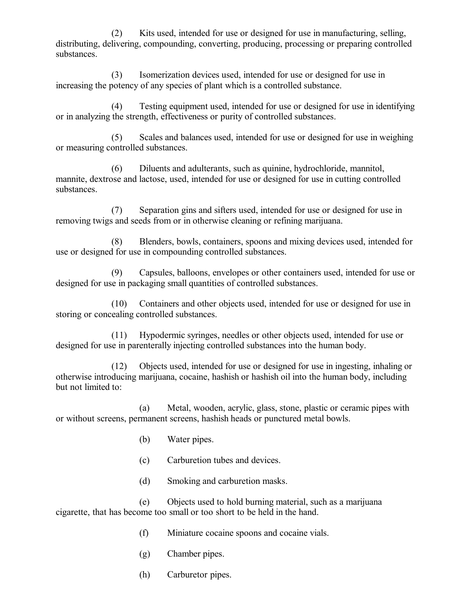(2) Kits used, intended for use or designed for use in manufacturing, selling, distributing, delivering, compounding, converting, producing, processing or preparing controlled substances.

(3) Isomerization devices used, intended for use or designed for use in increasing the potency of any species of plant which is a controlled substance.

(4) Testing equipment used, intended for use or designed for use in identifying or in analyzing the strength, effectiveness or purity of controlled substances.

(5) Scales and balances used, intended for use or designed for use in weighing or measuring controlled substances.

(6) Diluents and adulterants, such as quinine, hydrochloride, mannitol, mannite, dextrose and lactose, used, intended for use or designed for use in cutting controlled substances.

(7) Separation gins and sifters used, intended for use or designed for use in removing twigs and seeds from or in otherwise cleaning or refining marijuana.

Blenders, bowls, containers, spoons and mixing devices used, intended for use or designed for use in compounding controlled substances.

(9) Capsules, balloons, envelopes or other containers used, intended for use or designed for use in packaging small quantities of controlled substances.

(10) Containers and other objects used, intended for use or designed for use in storing or concealing controlled substances.

(11) Hypodermic syringes, needles or other objects used, intended for use or designed for use in parenterally injecting controlled substances into the human body.

(12) Objects used, intended for use or designed for use in ingesting, inhaling or otherwise introducing marijuana, cocaine, hashish or hashish oil into the human body, including but not limited to:

(a) Metal, wooden, acrylic, glass, stone, plastic or ceramic pipes with or without screens, permanent screens, hashish heads or punctured metal bowls.

- (b) Water pipes.
- (c) Carburetion tubes and devices.
- (d) Smoking and carburetion masks.

(e) Objects used to hold burning material, such as a marijuana cigarette, that has become too small or too short to be held in the hand.

- (f) Miniature cocaine spoons and cocaine vials.
- (g) Chamber pipes.
- (h) Carburetor pipes.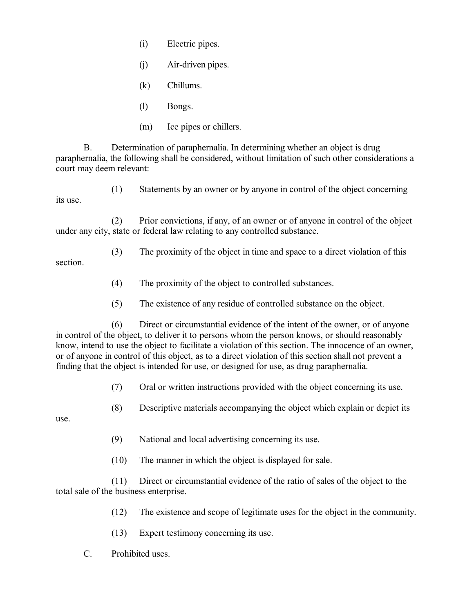- (i) Electric pipes.
- (j) Air-driven pipes.
- (k) Chillums.
- (l) Bongs.
- (m) Ice pipes or chillers.

B. Determination of paraphernalia. In determining whether an object is drug paraphernalia, the following shall be considered, without limitation of such other considerations a court may deem relevant:

(1) Statements by an owner or by anyone in control of the object concerning its use.

(2) Prior convictions, if any, of an owner or of anyone in control of the object under any city, state or federal law relating to any controlled substance.

(3) The proximity of the object in time and space to a direct violation of this

section.

- (4) The proximity of the object to controlled substances.
- (5) The existence of any residue of controlled substance on the object.

(6) Direct or circumstantial evidence of the intent of the owner, or of anyone in control of the object, to deliver it to persons whom the person knows, or should reasonably know, intend to use the object to facilitate a violation of this section. The innocence of an owner, or of anyone in control of this object, as to a direct violation of this section shall not prevent a finding that the object is intended for use, or designed for use, as drug paraphernalia.

- (7) Oral or written instructions provided with the object concerning its use.
- (8) Descriptive materials accompanying the object which explain or depict its

use.

- (9) National and local advertising concerning its use.
- (10) The manner in which the object is displayed for sale.

(11) Direct or circumstantial evidence of the ratio of sales of the object to the total sale of the business enterprise.

- (12) The existence and scope of legitimate uses for the object in the community.
- (13) Expert testimony concerning its use.
- C. Prohibited uses.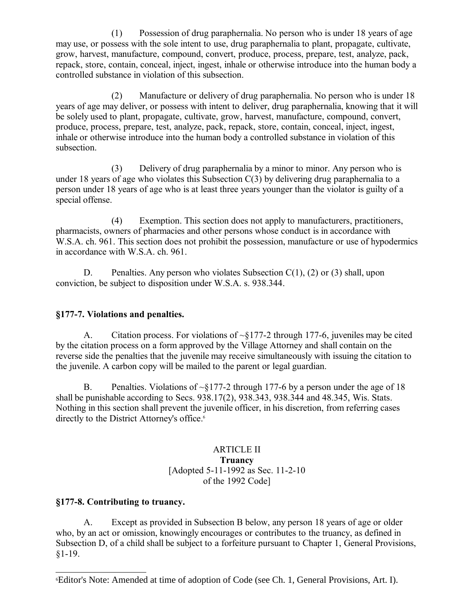(1) Possession of drug paraphernalia. No person who is under 18 years of age may use, or possess with the sole intent to use, drug paraphernalia to plant, propagate, cultivate, grow, harvest, manufacture, compound, convert, produce, process, prepare, test, analyze, pack, repack, store, contain, conceal, inject, ingest, inhale or otherwise introduce into the human body a controlled substance in violation of this subsection.

(2) Manufacture or delivery of drug paraphernalia. No person who is under 18 years of age may deliver, or possess with intent to deliver, drug paraphernalia, knowing that it will be solely used to plant, propagate, cultivate, grow, harvest, manufacture, compound, convert, produce, process, prepare, test, analyze, pack, repack, store, contain, conceal, inject, ingest, inhale or otherwise introduce into the human body a controlled substance in violation of this subsection.

(3) Delivery of drug paraphernalia by a minor to minor. Any person who is under 18 years of age who violates this Subsection  $C(3)$  by delivering drug paraphernalia to a person under 18 years of age who is at least three years younger than the violator is guilty of a special offense.

(4) Exemption. This section does not apply to manufacturers, practitioners, pharmacists, owners of pharmacies and other persons whose conduct is in accordance with W.S.A. ch. 961. This section does not prohibit the possession, manufacture or use of hypodermics in accordance with W.S.A. ch. 961.

D. Penalties. Any person who violates Subsection  $C(1)$ , (2) or (3) shall, upon conviction, be subject to disposition under W.S.A. s. 938.344.

#### **§177-7. Violations and penalties.**

A. Citation process. For violations of  $\sim$ §177-2 through 177-6, juveniles may be cited by the citation process on a form approved by the Village Attorney and shall contain on the reverse side the penalties that the juvenile may receive simultaneously with issuing the citation to the juvenile. A carbon copy will be mailed to the parent or legal guardian.

B. Penalties. Violations of  $\sim$ §177-2 through 177-6 by a person under the age of 18 shall be punishable according to Secs. 938.17(2), 938.343, 938.344 and 48.345, Wis. Stats. Nothing in this section shall prevent the juvenile officer, in his discretion, from referring cases directly to the District Attorney's office.<sup>[6](#page-6-0)</sup>

#### ARTICLE II **Truancy** [Adopted 5-11-1992 as Sec. 11-2-10 of the 1992 Code]

#### **§177-8. Contributing to truancy.**

A. Except as provided in Subsection B below, any person 18 years of age or older who, by an act or omission, knowingly encourages or contributes to the truancy, as defined in Subsection D, of a child shall be subject to a forfeiture pursuant to Chapter 1, General Provisions,  $§1 - 19.$ 

<span id="page-6-0"></span><sup>6</sup>Editor's Note: Amended at time of adoption of Code (see Ch. 1, General Provisions, Art. I).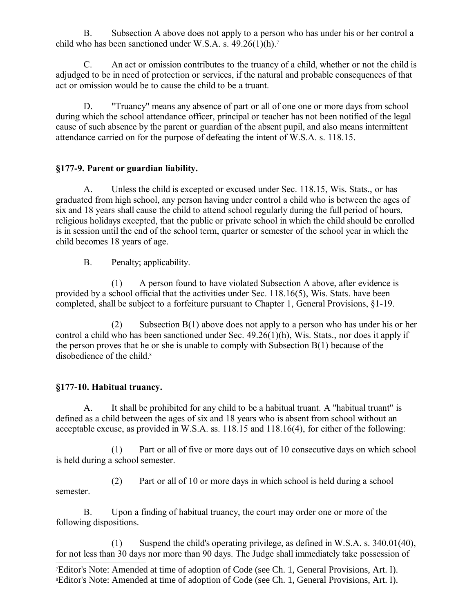B. Subsection A above does not apply to a person who has under his or her control a child who has been sanctioned under W.S.A. s. 49.26(1)(h).<sup>[7](#page-7-0)</sup>

C. An act or omission contributes to the truancy of a child, whether or not the child is adjudged to be in need of protection or services, if the natural and probable consequences of that act or omission would be to cause the child to be a truant.

D. "Truancy" means any absence of part or all of one one or more days from school during which the school attendance officer, principal or teacher has not been notified of the legal cause of such absence by the parent or guardian of the absent pupil, and also means intermittent attendance carried on for the purpose of defeating the intent of W.S.A. s. 118.15.

## **§177-9. Parent or guardian liability.**

A. Unless the child is excepted or excused under Sec. 118.15, Wis. Stats., or has graduated from high school, any person having under control a child who is between the ages of six and 18 years shall cause the child to attend school regularly during the full period of hours, religious holidays excepted, that the public or private school in which the child should be enrolled is in session until the end of the school term, quarter or semester of the school year in which the child becomes 18 years of age.

B. Penalty; applicability.

(1) A person found to have violated Subsection A above, after evidence is provided by a school official that the activities under Sec. 118.16(5), Wis. Stats. have been completed, shall be subject to a forfeiture pursuant to Chapter 1, General Provisions, §1-19.

(2) Subsection B(1) above does not apply to a person who has under his or her control a child who has been sanctioned under Sec. 49.26(1)(h), Wis. Stats., nor does it apply if the person proves that he or she is unable to comply with Subsection B(1) because of the disobedience of the child.<sup>[8](#page-7-1)</sup>

# **§177-10. Habitual truancy.**

A. It shall be prohibited for any child to be a habitual truant. A "habitual truant" is defined as a child between the ages of six and 18 years who is absent from school without an acceptable excuse, as provided in W.S.A. ss. 118.15 and 118.16(4), for either of the following:

(1) Part or all of five or more days out of 10 consecutive days on which school is held during a school semester.

(2) Part or all of 10 or more days in which school is held during a school semester.

B. Upon a finding of habitual truancy, the court may order one or more of the following dispositions.

(1) Suspend the child's operating privilege, as defined in W.S.A. s. 340.01(40), for not less than 30 days nor more than 90 days. The Judge shall immediately take possession of

<span id="page-7-1"></span><span id="page-7-0"></span><sup>7</sup>Editor's Note: Amended at time of adoption of Code (see Ch. 1, General Provisions, Art. I). 8Editor's Note: Amended at time of adoption of Code (see Ch. 1, General Provisions, Art. I).